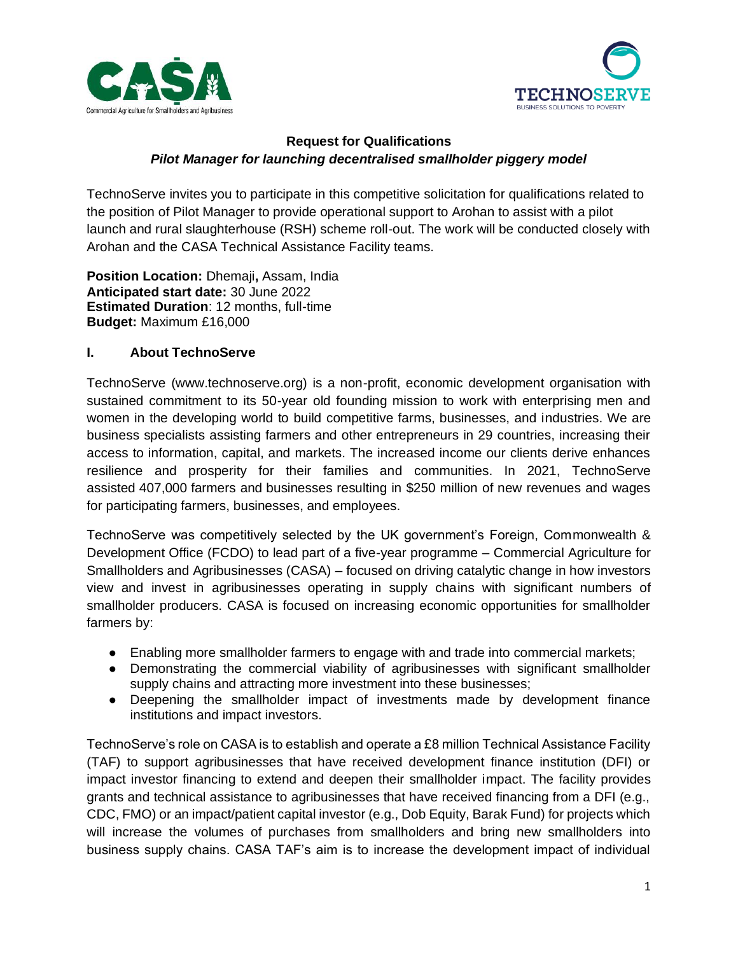



## **Request for Qualifications** *Pilot Manager for launching decentralised smallholder piggery model*

TechnoServe invites you to participate in this competitive solicitation for qualifications related to the position of Pilot Manager to provide operational support to Arohan to assist with a pilot launch and rural slaughterhouse (RSH) scheme roll-out. The work will be conducted closely with Arohan and the CASA Technical Assistance Facility teams.

**Position Location:** Dhemaji**,** Assam, India **Anticipated start date:** 30 June 2022 **Estimated Duration**: 12 months, full-time **Budget:** Maximum £16,000

## **I. About TechnoServe**

TechnoServe (www.technoserve.org) is a non-profit, economic development organisation with sustained commitment to its 50-year old founding mission to work with enterprising men and women in the developing world to build competitive farms, businesses, and industries. We are business specialists assisting farmers and other entrepreneurs in 29 countries, increasing their access to information, capital, and markets. The increased income our clients derive enhances resilience and prosperity for their families and communities. In 2021, TechnoServe assisted 407,000 farmers and businesses resulting in \$250 million of new revenues and wages for participating farmers, businesses, and employees.

TechnoServe was competitively selected by the UK government's Foreign, Commonwealth & Development Office (FCDO) to lead part of a five-year programme – Commercial Agriculture for Smallholders and Agribusinesses (CASA) – focused on driving catalytic change in how investors view and invest in agribusinesses operating in supply chains with significant numbers of smallholder producers. CASA is focused on increasing economic opportunities for smallholder farmers by:

- Enabling more smallholder farmers to engage with and trade into commercial markets;
- Demonstrating the commercial viability of agribusinesses with significant smallholder supply chains and attracting more investment into these businesses;
- Deepening the smallholder impact of investments made by development finance institutions and impact investors.

TechnoServe's role on CASA is to establish and operate a £8 million Technical Assistance Facility (TAF) to support agribusinesses that have received development finance institution (DFI) or impact investor financing to extend and deepen their smallholder impact. The facility provides grants and technical assistance to agribusinesses that have received financing from a DFI (e.g., CDC, FMO) or an impact/patient capital investor (e.g., Dob Equity, Barak Fund) for projects which will increase the volumes of purchases from smallholders and bring new smallholders into business supply chains. CASA TAF's aim is to increase the development impact of individual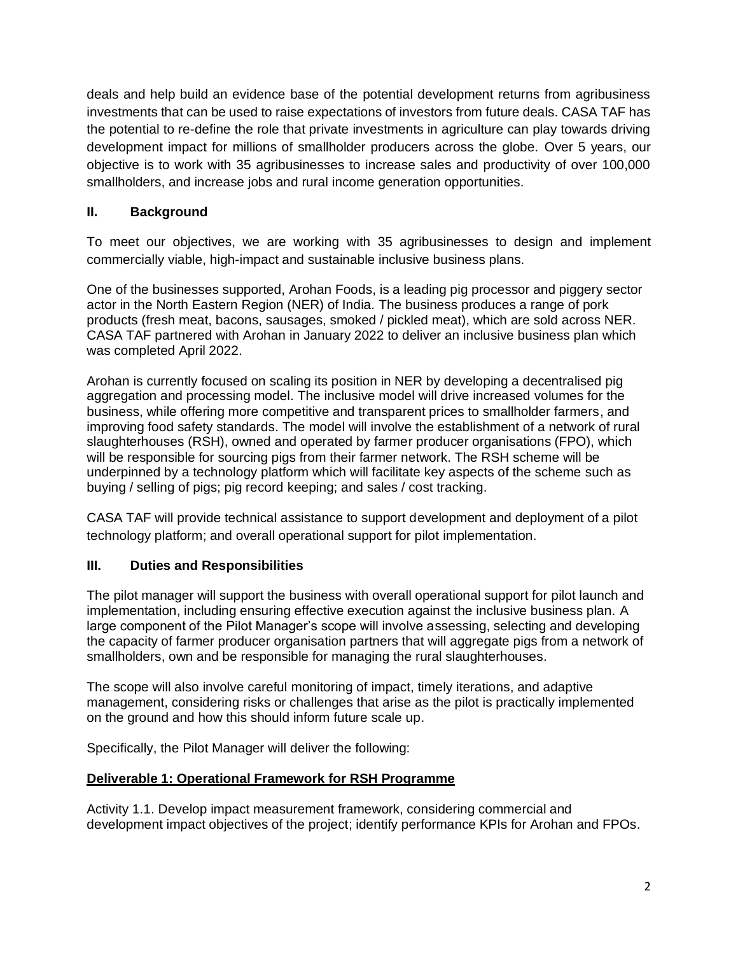deals and help build an evidence base of the potential development returns from agribusiness investments that can be used to raise expectations of investors from future deals. CASA TAF has the potential to re-define the role that private investments in agriculture can play towards driving development impact for millions of smallholder producers across the globe. Over 5 years, our objective is to work with 35 agribusinesses to increase sales and productivity of over 100,000 smallholders, and increase jobs and rural income generation opportunities.

# **II. Background**

To meet our objectives, we are working with 35 agribusinesses to design and implement commercially viable, high-impact and sustainable inclusive business plans.

One of the businesses supported, Arohan Foods, is a leading pig processor and piggery sector actor in the North Eastern Region (NER) of India. The business produces a range of pork products (fresh meat, bacons, sausages, smoked / pickled meat), which are sold across NER. CASA TAF partnered with Arohan in January 2022 to deliver an inclusive business plan which was completed April 2022.

Arohan is currently focused on scaling its position in NER by developing a decentralised pig aggregation and processing model. The inclusive model will drive increased volumes for the business, while offering more competitive and transparent prices to smallholder farmers, and improving food safety standards. The model will involve the establishment of a network of rural slaughterhouses (RSH), owned and operated by farmer producer organisations (FPO), which will be responsible for sourcing pigs from their farmer network. The RSH scheme will be underpinned by a technology platform which will facilitate key aspects of the scheme such as buying / selling of pigs; pig record keeping; and sales / cost tracking.

CASA TAF will provide technical assistance to support development and deployment of a pilot technology platform; and overall operational support for pilot implementation.

## **III. Duties and Responsibilities**

The pilot manager will support the business with overall operational support for pilot launch and implementation, including ensuring effective execution against the inclusive business plan. A large component of the Pilot Manager's scope will involve assessing, selecting and developing the capacity of farmer producer organisation partners that will aggregate pigs from a network of smallholders, own and be responsible for managing the rural slaughterhouses.

The scope will also involve careful monitoring of impact, timely iterations, and adaptive management, considering risks or challenges that arise as the pilot is practically implemented on the ground and how this should inform future scale up.

Specifically, the Pilot Manager will deliver the following:

## **Deliverable 1: Operational Framework for RSH Programme**

Activity 1.1. Develop impact measurement framework, considering commercial and development impact objectives of the project; identify performance KPIs for Arohan and FPOs.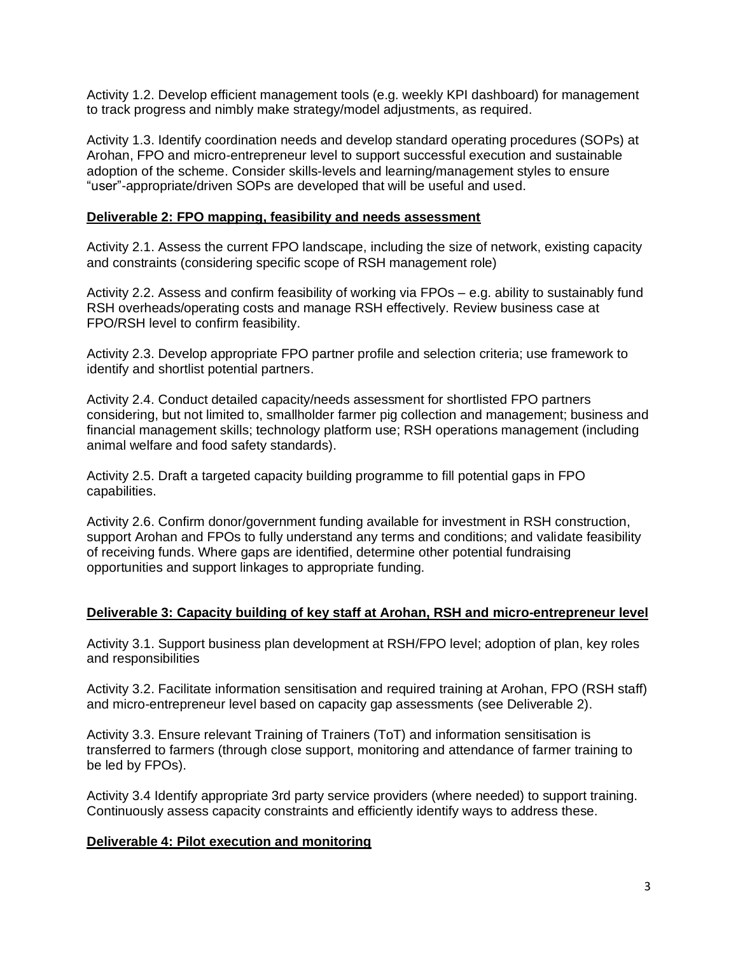Activity 1.2. Develop efficient management tools (e.g. weekly KPI dashboard) for management to track progress and nimbly make strategy/model adjustments, as required.

Activity 1.3. Identify coordination needs and develop standard operating procedures (SOPs) at Arohan, FPO and micro-entrepreneur level to support successful execution and sustainable adoption of the scheme. Consider skills-levels and learning/management styles to ensure "user"-appropriate/driven SOPs are developed that will be useful and used.

#### **Deliverable 2: FPO mapping, feasibility and needs assessment**

Activity 2.1. Assess the current FPO landscape, including the size of network, existing capacity and constraints (considering specific scope of RSH management role)

Activity 2.2. Assess and confirm feasibility of working via FPOs – e.g. ability to sustainably fund RSH overheads/operating costs and manage RSH effectively. Review business case at FPO/RSH level to confirm feasibility.

Activity 2.3. Develop appropriate FPO partner profile and selection criteria; use framework to identify and shortlist potential partners.

Activity 2.4. Conduct detailed capacity/needs assessment for shortlisted FPO partners considering, but not limited to, smallholder farmer pig collection and management; business and financial management skills; technology platform use; RSH operations management (including animal welfare and food safety standards).

Activity 2.5. Draft a targeted capacity building programme to fill potential gaps in FPO capabilities.

Activity 2.6. Confirm donor/government funding available for investment in RSH construction, support Arohan and FPOs to fully understand any terms and conditions; and validate feasibility of receiving funds. Where gaps are identified, determine other potential fundraising opportunities and support linkages to appropriate funding.

### **Deliverable 3: Capacity building of key staff at Arohan, RSH and micro-entrepreneur level**

Activity 3.1. Support business plan development at RSH/FPO level; adoption of plan, key roles and responsibilities

Activity 3.2. Facilitate information sensitisation and required training at Arohan, FPO (RSH staff) and micro-entrepreneur level based on capacity gap assessments (see Deliverable 2).

Activity 3.3. Ensure relevant Training of Trainers (ToT) and information sensitisation is transferred to farmers (through close support, monitoring and attendance of farmer training to be led by FPOs).

Activity 3.4 Identify appropriate 3rd party service providers (where needed) to support training. Continuously assess capacity constraints and efficiently identify ways to address these.

### **Deliverable 4: Pilot execution and monitoring**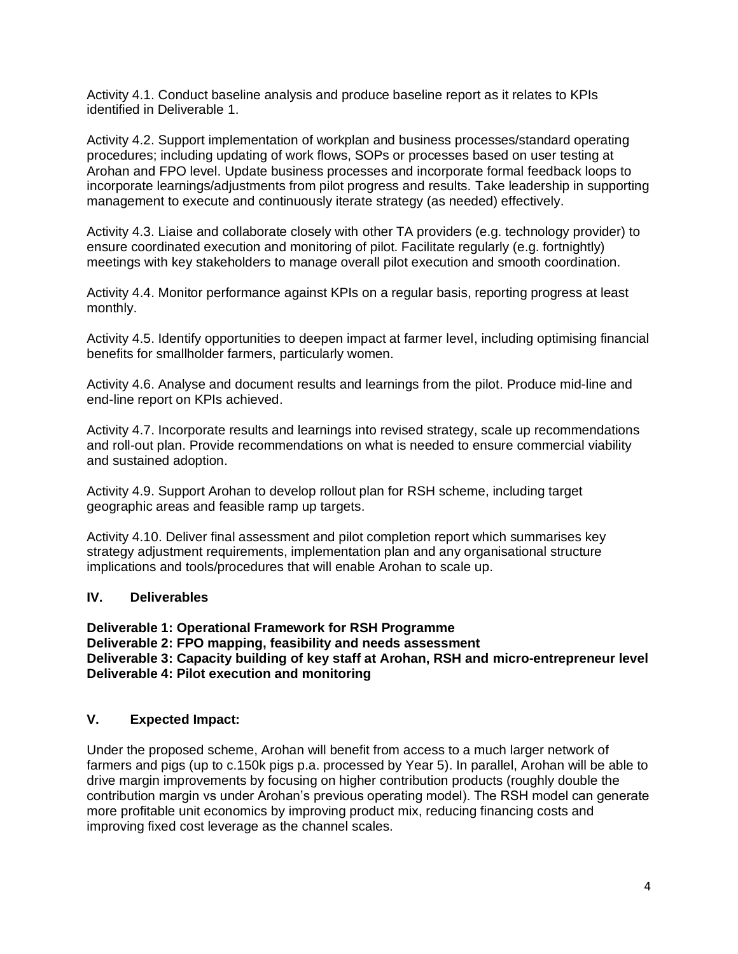Activity 4.1. Conduct baseline analysis and produce baseline report as it relates to KPIs identified in Deliverable 1.

Activity 4.2. Support implementation of workplan and business processes/standard operating procedures; including updating of work flows, SOPs or processes based on user testing at Arohan and FPO level. Update business processes and incorporate formal feedback loops to incorporate learnings/adjustments from pilot progress and results. Take leadership in supporting management to execute and continuously iterate strategy (as needed) effectively.

Activity 4.3. Liaise and collaborate closely with other TA providers (e.g. technology provider) to ensure coordinated execution and monitoring of pilot. Facilitate regularly (e.g. fortnightly) meetings with key stakeholders to manage overall pilot execution and smooth coordination.

Activity 4.4. Monitor performance against KPIs on a regular basis, reporting progress at least monthly.

Activity 4.5. Identify opportunities to deepen impact at farmer level, including optimising financial benefits for smallholder farmers, particularly women.

Activity 4.6. Analyse and document results and learnings from the pilot. Produce mid-line and end-line report on KPIs achieved.

Activity 4.7. Incorporate results and learnings into revised strategy, scale up recommendations and roll-out plan. Provide recommendations on what is needed to ensure commercial viability and sustained adoption.

Activity 4.9. Support Arohan to develop rollout plan for RSH scheme, including target geographic areas and feasible ramp up targets.

Activity 4.10. Deliver final assessment and pilot completion report which summarises key strategy adjustment requirements, implementation plan and any organisational structure implications and tools/procedures that will enable Arohan to scale up.

### **IV. Deliverables**

**Deliverable 1: Operational Framework for RSH Programme Deliverable 2: FPO mapping, feasibility and needs assessment Deliverable 3: Capacity building of key staff at Arohan, RSH and micro-entrepreneur level Deliverable 4: Pilot execution and monitoring** 

### **V. Expected Impact:**

Under the proposed scheme, Arohan will benefit from access to a much larger network of farmers and pigs (up to c.150k pigs p.a. processed by Year 5). In parallel, Arohan will be able to drive margin improvements by focusing on higher contribution products (roughly double the contribution margin vs under Arohan's previous operating model). The RSH model can generate more profitable unit economics by improving product mix, reducing financing costs and improving fixed cost leverage as the channel scales.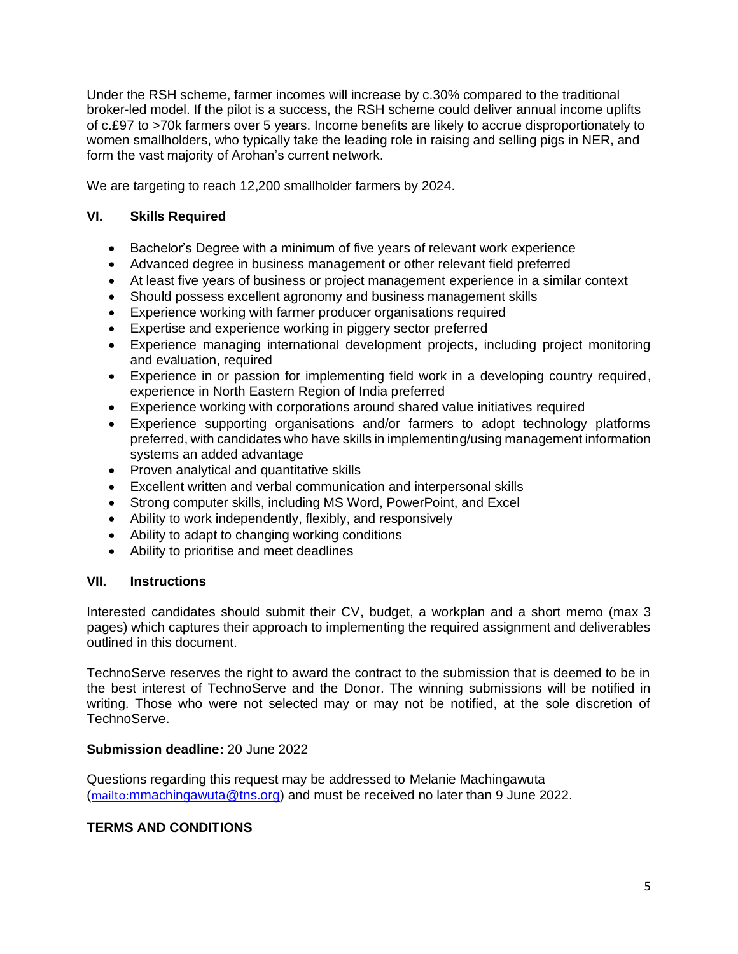Under the RSH scheme, farmer incomes will increase by c.30% compared to the traditional broker-led model. If the pilot is a success, the RSH scheme could deliver annual income uplifts of c.£97 to >70k farmers over 5 years. Income benefits are likely to accrue disproportionately to women smallholders, who typically take the leading role in raising and selling pigs in NER, and form the vast majority of Arohan's current network.

We are targeting to reach 12,200 smallholder farmers by 2024.

### **VI. Skills Required**

- Bachelor's Degree with a minimum of five years of relevant work experience
- Advanced degree in business management or other relevant field preferred
- At least five years of business or project management experience in a similar context
- Should possess excellent agronomy and business management skills
- Experience working with farmer producer organisations required
- Expertise and experience working in piggery sector preferred
- Experience managing international development projects, including project monitoring and evaluation, required
- Experience in or passion for implementing field work in a developing country required, experience in North Eastern Region of India preferred
- Experience working with corporations around shared value initiatives required
- Experience supporting organisations and/or farmers to adopt technology platforms preferred, with candidates who have skills in implementing/using management information systems an added advantage
- Proven analytical and quantitative skills
- Excellent written and verbal communication and interpersonal skills
- Strong computer skills, including MS Word, PowerPoint, and Excel
- Ability to work independently, flexibly, and responsively
- Ability to adapt to changing working conditions
- Ability to prioritise and meet deadlines

### **VII. Instructions**

Interested candidates should submit their CV, budget, a workplan and a short memo (max 3 pages) which captures their approach to implementing the required assignment and deliverables outlined in this document.

TechnoServe reserves the right to award the contract to the submission that is deemed to be in the best interest of TechnoServe and the Donor. The winning submissions will be notified in writing. Those who were not selected may or may not be notified, at the sole discretion of TechnoServe.

### **Submission deadline:** 20 June 2022

Questions regarding this request may be addressed to Melanie Machingawuta (<mailto:>[mmachingawuta@tns.org\)](mailto:mmachingawuta@tns.org) and must be received no later than 9 June 2022.

## **TERMS AND CONDITIONS**